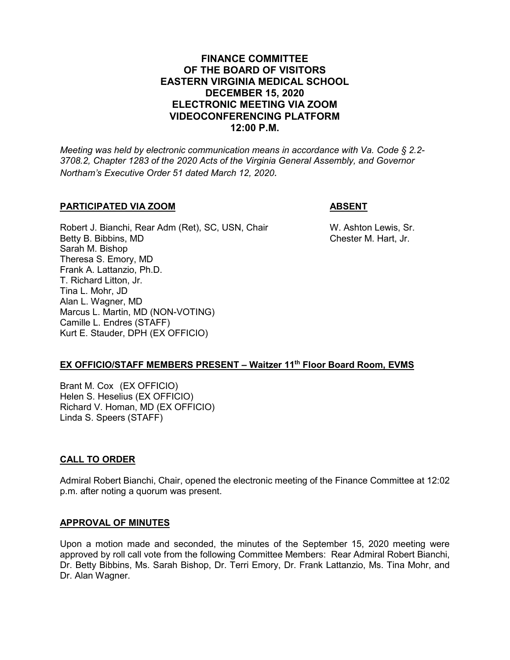## **FINANCE COMMITTEE OF THE BOARD OF VISITORS EASTERN VIRGINIA MEDICAL SCHOOL DECEMBER 15, 2020 ELECTRONIC MEETING VIA ZOOM VIDEOCONFERENCING PLATFORM 12:00 P.M.**

*Meeting was held by electronic communication means in accordance with Va. Code § 2.2- 3708.2, Chapter 1283 of the 2020 Acts of the Virginia General Assembly, and Governor Northam's Executive Order 51 dated March 12, 2020.*

## **PARTICIPATED VIA ZOOM ABSENT**

Robert J. Bianchi, Rear Adm (Ret), SC, USN, Chair W. Ashton Lewis, Sr.<br>Betty B. Bibbins, MD Ghester M. Hart, Jr. Betty B. Bibbins, MD Sarah M. Bishop Theresa S. Emory, MD Frank A. Lattanzio, Ph.D. T. Richard Litton, Jr. Tina L. Mohr, JD Alan L. Wagner, MD Marcus L. Martin, MD (NON-VOTING) Camille L. Endres (STAFF) Kurt E. Stauder, DPH (EX OFFICIO)

## **EX OFFICIO/STAFF MEMBERS PRESENT – Waitzer 11th Floor Board Room, EVMS**

Brant M. Cox (EX OFFICIO) Helen S. Heselius (EX OFFICIO) Richard V. Homan, MD (EX OFFICIO) Linda S. Speers (STAFF)

## **CALL TO ORDER**

Admiral Robert Bianchi, Chair, opened the electronic meeting of the Finance Committee at 12:02 p.m. after noting a quorum was present.

## **APPROVAL OF MINUTES**

Upon a motion made and seconded, the minutes of the September 15, 2020 meeting were approved by roll call vote from the following Committee Members: Rear Admiral Robert Bianchi, Dr. Betty Bibbins, Ms. Sarah Bishop, Dr. Terri Emory, Dr. Frank Lattanzio, Ms. Tina Mohr, and Dr. Alan Wagner.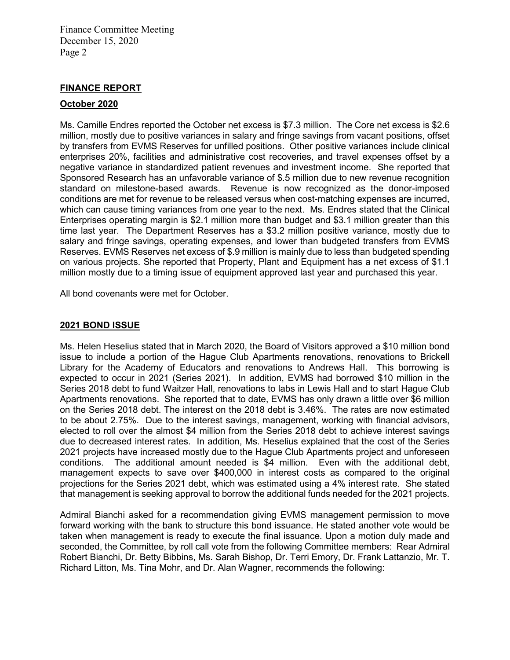Finance Committee Meeting December 15, 2020 Page 2

## **FINANCE REPORT**

#### **October 2020**

Ms. Camille Endres reported the October net excess is \$7.3 million. The Core net excess is \$2.6 million, mostly due to positive variances in salary and fringe savings from vacant positions, offset by transfers from EVMS Reserves for unfilled positions. Other positive variances include clinical enterprises 20%, facilities and administrative cost recoveries, and travel expenses offset by a negative variance in standardized patient revenues and investment income. She reported that Sponsored Research has an unfavorable variance of \$.5 million due to new revenue recognition standard on milestone-based awards. Revenue is now recognized as the donor-imposed conditions are met for revenue to be released versus when cost-matching expenses are incurred, which can cause timing variances from one year to the next. Ms. Endres stated that the Clinical Enterprises operating margin is \$2.1 million more than budget and \$3.1 million greater than this time last year. The Department Reserves has a \$3.2 million positive variance, mostly due to salary and fringe savings, operating expenses, and lower than budgeted transfers from EVMS Reserves. EVMS Reserves net excess of \$.9 million is mainly due to less than budgeted spending on various projects. She reported that Property, Plant and Equipment has a net excess of \$1.1 million mostly due to a timing issue of equipment approved last year and purchased this year.

All bond covenants were met for October.

#### **2021 BOND ISSUE**

Ms. Helen Heselius stated that in March 2020, the Board of Visitors approved a \$10 million bond issue to include a portion of the Hague Club Apartments renovations, renovations to Brickell Library for the Academy of Educators and renovations to Andrews Hall. This borrowing is expected to occur in 2021 (Series 2021). In addition, EVMS had borrowed \$10 million in the Series 2018 debt to fund Waitzer Hall, renovations to labs in Lewis Hall and to start Hague Club Apartments renovations. She reported that to date, EVMS has only drawn a little over \$6 million on the Series 2018 debt. The interest on the 2018 debt is 3.46%. The rates are now estimated to be about 2.75%. Due to the interest savings, management, working with financial advisors, elected to roll over the almost \$4 million from the Series 2018 debt to achieve interest savings due to decreased interest rates. In addition, Ms. Heselius explained that the cost of the Series 2021 projects have increased mostly due to the Hague Club Apartments project and unforeseen conditions. The additional amount needed is \$4 million. Even with the additional debt, management expects to save over \$400,000 in interest costs as compared to the original projections for the Series 2021 debt, which was estimated using a 4% interest rate. She stated that management is seeking approval to borrow the additional funds needed for the 2021 projects.

Admiral Bianchi asked for a recommendation giving EVMS management permission to move forward working with the bank to structure this bond issuance. He stated another vote would be taken when management is ready to execute the final issuance. Upon a motion duly made and seconded, the Committee, by roll call vote from the following Committee members: Rear Admiral Robert Bianchi, Dr. Betty Bibbins, Ms. Sarah Bishop, Dr. Terri Emory, Dr. Frank Lattanzio, Mr. T. Richard Litton, Ms. Tina Mohr, and Dr. Alan Wagner, recommends the following: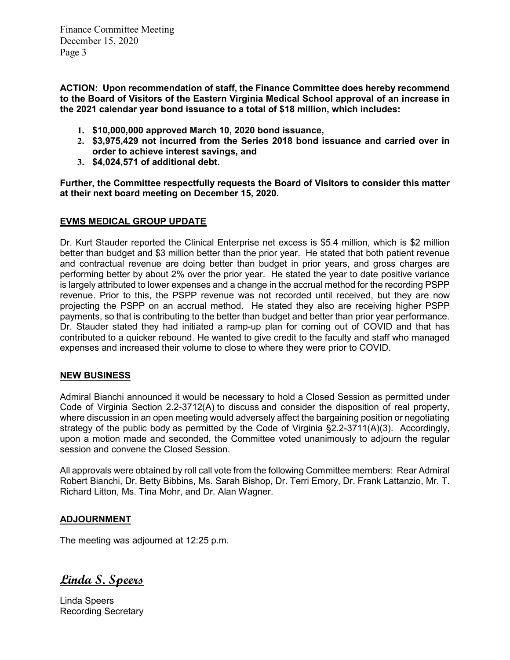Finance Committee Meeting December 15, 2020 Page 3

**ACTION: Upon recommendation of staff, the Finance Committee does hereby recommend to the Board of Visitors of the Eastern Virginia Medical School approval of an increase in the 2021 calendar year bond issuance to a total of \$18 million, which includes:**

- **1. \$10,000,000 approved March 10, 2020 bond issuance,**
- **2. \$3,975,429 not incurred from the Series 2018 bond issuance and carried over in order to achieve interest savings, and**
- **3. \$4,024,571 of additional debt.**

**Further, the Committee respectfully requests the Board of Visitors to consider this matter at their next board meeting on December 15, 2020.**

## **EVMS MEDICAL GROUP UPDATE**

Dr. Kurt Stauder reported the Clinical Enterprise net excess is \$5.4 million, which is \$2 million better than budget and \$3 million better than the prior year. He stated that both patient revenue and contractual revenue are doing better than budget in prior years, and gross charges are performing better by about 2% over the prior year. He stated the year to date positive variance is largely attributed to lower expenses and a change in the accrual method for the recording PSPP revenue. Prior to this, the PSPP revenue was not recorded until received, but they are now projecting the PSPP on an accrual method. He stated they also are receiving higher PSPP payments, so that is contributing to the better than budget and better than prior year performance. Dr. Stauder stated they had initiated a ramp-up plan for coming out of COVID and that has contributed to a quicker rebound. He wanted to give credit to the faculty and staff who managed expenses and increased their volume to close to where they were prior to COVID.

## **NEW BUSINESS**

Admiral Bianchi announced it would be necessary to hold a Closed Session as permitted under Code of Virginia Section 2.2-3712(A) to discuss and consider the disposition of real property, where discussion in an open meeting would adversely affect the bargaining position or negotiating strategy of the public body as permitted by the Code of Virginia §2.2-3711(A)(3). Accordingly, upon a motion made and seconded, the Committee voted unanimously to adjourn the regular session and convene the Closed Session.

All approvals were obtained by roll call vote from the following Committee members: Rear Admiral Robert Bianchi, Dr. Betty Bibbins, Ms. Sarah Bishop, Dr. Terri Emory, Dr. Frank Lattanzio, Mr. T. Richard Litton, Ms. Tina Mohr, and Dr. Alan Wagner.

## **ADJOURNMENT**

The meeting was adjourned at 12:25 p.m.

**Linda S. Speers**

Linda Speers Recording Secretary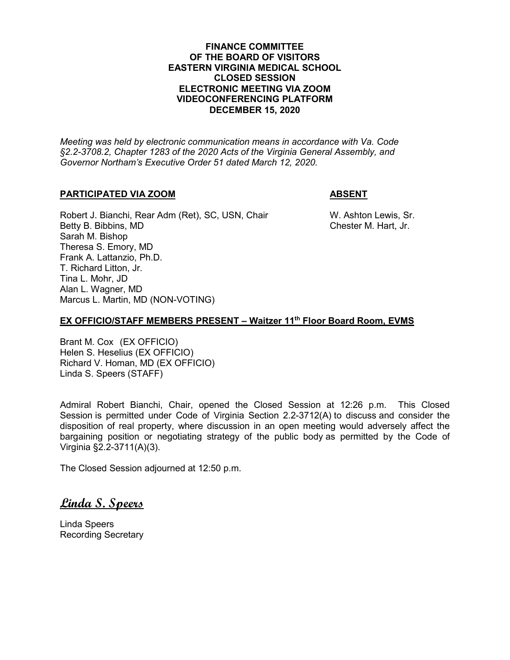## **FINANCE COMMITTEE OF THE BOARD OF VISITORS EASTERN VIRGINIA MEDICAL SCHOOL CLOSED SESSION ELECTRONIC MEETING VIA ZOOM VIDEOCONFERENCING PLATFORM DECEMBER 15, 2020**

*Meeting was held by electronic communication means in accordance with Va. Code §2.2-3708.2, Chapter 1283 of the 2020 Acts of the Virginia General Assembly, and Governor Northam's Executive Order 51 dated March 12, 2020.*

## **PARTICIPATED VIA ZOOM ABSENT**

Robert J. Bianchi, Rear Adm (Ret), SC, USN, Chair W. Ashton Lewis, Sr. Betty B. Bibbins, MD **Chester M. Hart, Jr.** Chester M. Hart, Jr. Sarah M. Bishop Theresa S. Emory, MD Frank A. Lattanzio, Ph.D. T. Richard Litton, Jr. Tina L. Mohr, JD Alan L. Wagner, MD Marcus L. Martin, MD (NON-VOTING)

## **EX OFFICIO/STAFF MEMBERS PRESENT – Waitzer 11th Floor Board Room, EVMS**

Brant M. Cox (EX OFFICIO) Helen S. Heselius (EX OFFICIO) Richard V. Homan, MD (EX OFFICIO) Linda S. Speers (STAFF)

Admiral Robert Bianchi, Chair, opened the Closed Session at 12:26 p.m. This Closed Session is permitted under Code of Virginia Section 2.2-3712(A) to discuss and consider the disposition of real property, where discussion in an open meeting would adversely affect the bargaining position or negotiating strategy of the public body as permitted by the Code of Virginia §2.2-3711(A)(3).

The Closed Session adjourned at 12:50 p.m.

# **Linda S. Speers**

Linda Speers Recording Secretary